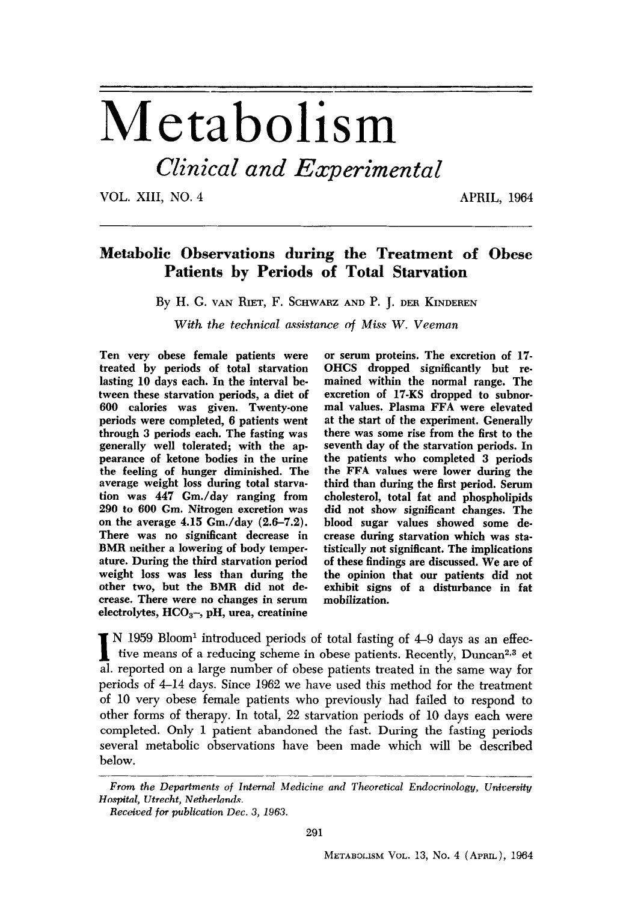# Metabolism

Clinical and Experimental

**VOL. XIII, NO. 4 APRIL, 1964** 

# **Metabolic Observations during the Treatment of Obese Patients by Periods of Total Starvation**

**By H. G. VAN RIET, F. SCHWARZ AND P. J. DER KINDEREN** 

*With the technical assistance* **of** *Miss* **W.** *Veeman* 

**Ten very obese female patients were treated by periods of total starvation lasting 10 days each. In the interval between these starvation periods, a diet of 600 calories was given. Twenty-one periods were completed, 6 patients went through 3 periods each. The fasting was generally well tolerated; with the appearance of ketone bodies in the urine the feeling of hunger diminished. The average weight loss during total starvation was 447 Gm./day ranging from 290 to 600 Gm. Nitrogen excretion was on the average 4.15 Gm./day (2.6-7.2). There was no significant decrease in BMR neither a lowering of body temperature. During the third starvation period weight loss was less than during the other two, but the BMR did not decrease. There were no changes in serum electrolytes, HCOa-, pH, urea, creatinine** 

**or serum proteins. The excretion of 17. OHCS dropped significantly but remained within the normal range. The excretion of 17-KS dropped to subnormal values. Plasma FFA were elevated at the start of the experiment. Generally there was some rise from the first to the seventh day of the starvation periods. In the patients who completed 3 periods the FFA values were lower during the third than during the first period. Serum cholesterol, total fat and phospholipids did not show significant changes. The blood sugar values showed some decrease during starvation which was statistically not significant. The implications of these findings are discussed. We are of the opinion that our patients did not exhibit signs of a disturbance in fat mobilization.** 

 $\blacksquare$  N 1959 Bloom<sup>1</sup> introduced periods of total fasting of 4–9 days as an effective means of a reducing scheme in obese patients. Recently, Duncar<sup>2,3</sup> et  $\blacksquare$  reported on a large number of obese patients treated in **al. reported on a large number of obese patients treated in the same way for periods of 4-14 days. Since 1962 we have used this method for the treatment of 10 very obese female patients who previously had failed to respond to other forms of therapy. In total, 22 starvation periods of 10 days each were completed. Only 1 patient abandoned the fast. During the fasting periods several metabolic observations have been made which will be described below.** 

*From the Departments of lnternul Medicine and Theoretical Endocrinology, Unioemity Hospital, Utrecht, Netherlands.* 

*Received* for *publication Dec. 3, 1963.*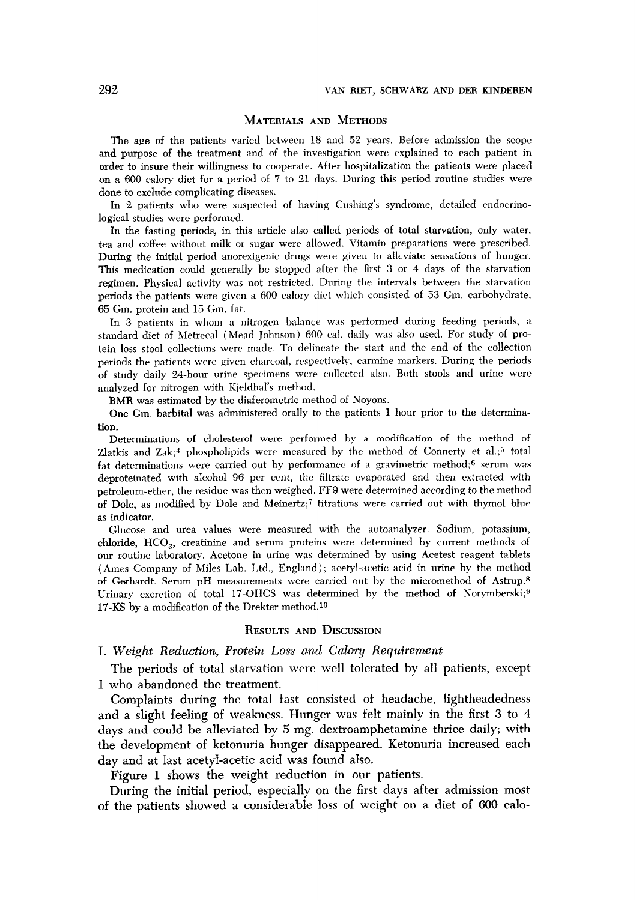#### **MATERIALS AND METHODS**

**The** age of the patients varied between 18 and 52 years. Before admission the scope and purpose of the treatment and of the investigation were explained to each patient in order to insure their willingness to cooperate. After hospitalization the patients were placed on a 600 calory diet for a period of 7 to 21 days. During this period routine studies were done to exclude complicating diseases.

In 2 patients who were suspected of having Gushing's syndrome, detailed endocrinological studies were performed.

In the fasting periods, in this article also called periods of total starvation, only water. tea and coffee without milk or sugar were allowed. Vitamin preparations were prescribed. During the initial period anorexigenic drugs were given to alleviate sensations of hunger. This medication could generally be stopped after the first 3 or 4 days of the starvation regimen. Physical activity was not restricted. During the intervals between the starvation periods the patients were given a 600 calory diet which consisted of 53 Gm. carbohydrate, 65 Gm. protein and 15 Gm. fat.

In 3 patients in whom a nitrogen balance was performed during feeding periods, a standard diet of hletrecal (Mead Johnson) 600 cal. daily was also used. For study of protein loss stool collections were made. To delincate the start and the end of the collection periods the patients were given charcoal, respectively. carmine markers. During the periods of study daily 24-hour urine specimens were collected also. Both stools and urine were analyzed for nitrogen with Kjeldhal's method.

BMR was estimated by the diaferometric method of Noyons.

One Gm. barbital was administered orally to the patients 1 hour prior to the determination.

Determinations of cholesterol were performed by a modification of the method of Zlatkis and  $Zak$ ;<sup>4</sup> phospholipids were measured by the method of Connerty et al.;<sup>5</sup> total fat determinations were carried out by performance of a gravimetric method;<sup>6</sup> serum was deproteinated with aIcoho1 96 per cent, the filtrate evaporated and then extracted with petroleum-ether, the residue was then weighed. FF9 were determined according to the method of Dole, as modified by Dole and Meinertz;' titrations were carried out with thymol blue as indicator.

Glucose and urea values were measured with the autoanalyzer. Sodium, potassium, chloride,  $HCO<sub>3</sub>$ , creatinine and serum proteins were determined by current methods of our routine laboratory. Acetone in urine was determined by using Acetest reagent tablets (Ames Company of Miles Lab. Ltd., England); acetyl-acetic acid in urine by the method of Gerhardt. Serum pH measurements were carried out by the micromethod of Astrup.<sup>8</sup> Urinary excretion of total 17-OHCS was determined by the method of Norymberski;<sup>9</sup> 17-KS by a modification of the Drekter method.10

### **RESULTS AND DISCUSSION**

#### **I.** Weight Reduction, Protein Loss and Calory Requirement

The periods of total starvation were well tolerated by all patients, except 1 who abandoned the treatment.

Complaints during the total fast consisted of headache, lightheadedness and a slight feeling of weakness. Hunger was felt mainly in the first 3 to 4 days and could be alleviated by 5 mg. dextroamphetamine thrice daily; with the development of ketonuria hunger disappeared. Ketonuria increased each day and at last acetyl-acetic acid was found also.

Figure 1 shows the weight reduction in our patients.

During the initial period, especially on the first days after admission most of the patients showed a considerable loss of weight on a diet of 666 calo-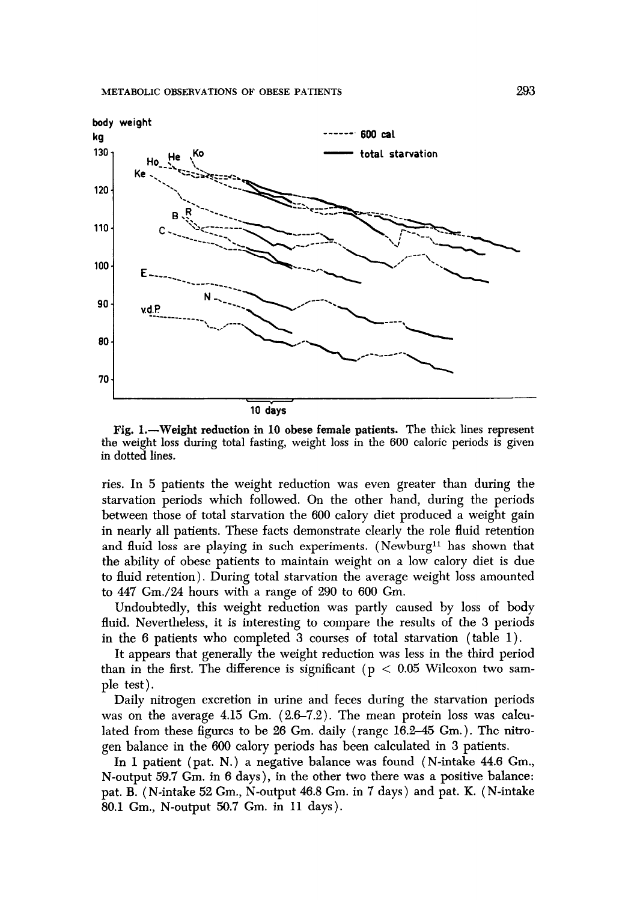

**Fig. L-Weight reduction in 10 obese female patients.** The thick lines represent the weight loss during total fasting, weight loss in the 600 caloric periods is given in dotted lines.

ries. In 5 patients the weight reduction was even greater than during the starvation periods which followed. On the other hand, during the periods between those of total starvation the 600 calory diet produced a weight gain in nearly all patients. These facts demonstrate clearly the role fluid retention and fluid loss are playing in such experiments. (Newburg<sup>11</sup> has shown that the ability of obese patients to maintain weight on a low calory diet is due to fluid retention). During total starvation the average weight loss amounted to 447 Gm./24 hours with a range of 290 to 600 Gm.

Undoubtedly, this weight reduction was partly caused by loss of body fluid. Nevertheless, it is interesting to compare the results of the 3 periods in the 6 patients who completed 3 courses of total starvation (table 1).

It appears that generally the weight reduction was less in the third period than in the first. The difference is significant ( $p < 0.05$  Wilcoxon two sample test).

Daily nitrogen excretion in urine and feces during the starvation periods was on the average 4.15 Gm. (2.6-7.2). The mean protein loss was calculated from these figures to be 26 Gm. daily (range 16.2-45 Gm.). The nitrogen balance in the 600 calory periods has been calculated in 3 patients.

In 1 patient (pat. N.) a negative balance was found (N-intake 44.6 Gm., N-output 59.7 Gm. in 6 days), in the other two there was a positive balance: pat. B. (N-intake 52 Gm., N-output 46.8 Gm. in 7 days) and pat. K. (N-intake 80.1 Gm., N-output 50.7 Gm. in 11 days).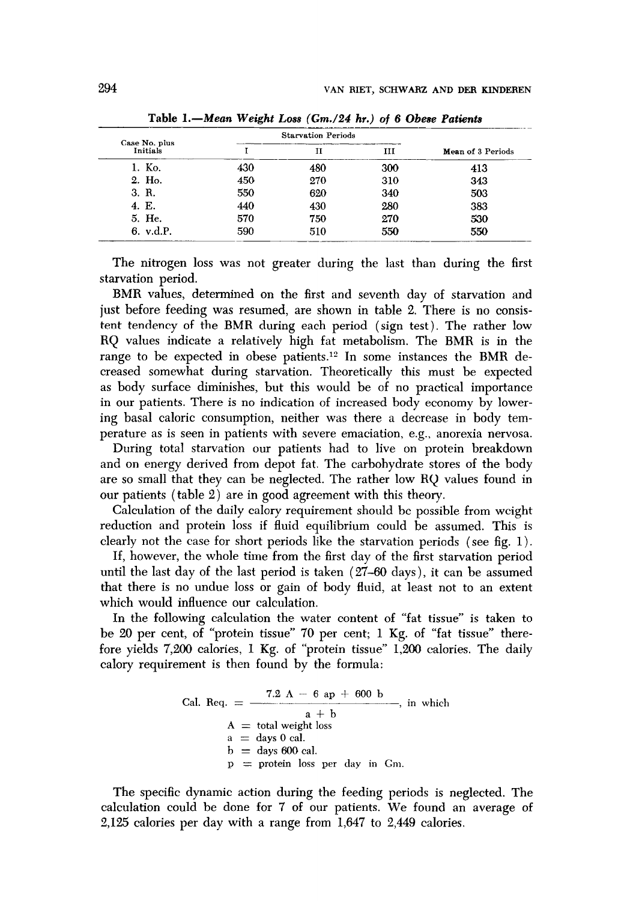| Case No. plus | <b>Starvation Periods</b> |     |     |                   |  |
|---------------|---------------------------|-----|-----|-------------------|--|
| Initials      |                           |     | ш   | Mean of 3 Periods |  |
| 1. Ko.        | 430                       | 480 | 300 | 413               |  |
| 2. Ho.        | 450                       | 270 | 310 | 343               |  |
| 3. R.         | 550                       | 620 | 340 | 503               |  |
| 4. E.         | 440                       | 430 | 280 | 383               |  |
| 5. He.        | 570                       | 750 | 270 | 530               |  |
| 6. v.d.P.     | 590                       | 510 | 550 | 550               |  |

Table *I.-Mean* Weight *Loss (Gm./24 hr.)* of 6 *Obese* Patients

The nitrogen loss was not greater during the last than during the first starvation period.

BMR values, determined on the first and seventh day of starvation and just before feeding was resumed, are shown in table 2. There is no consistent tendency of the BMR during each period (sign test). The rather low RQ values indicate a relatively high fat metabolism. The BMR is in the range to be expected in obese patients.<sup>12</sup> In some instances the BMR decreased somewhat during starvation. Theoretically this must be expected as body surface diminishes, but this would be of no practical importance in our patients. There is no indication of increased body economy by lowering basal caloric consumption, neither was there a decrease in body temperature as is seen in patients with severe emaciation, e.g., anorexia nervosa.

During total starvation our patients had to live on protein breakdown and on energy derived from depot fat. The carbohydrate stores of the body are so small that they can be neglected. The rather low RQ values found in our patients (table 2) are in good agreement with this theory.

Calculation of the daily calory requirement should be possible from weight reduction and protein loss if fluid equilibrium could be assumed. This is clearly not the case for short periods like the starvation periods (see fig. 1).

If, however, the whole time from the first day of the first starvation period until the last day of the last period is taken  $(27-60 \text{ days})$ , it can be assumed that there is no undue loss or gain of body fluid, at least not to an extent which would influence our calculation.

In the following calculation the water content of "fat tissue" is taken to be 20 per cent, of "protein tissue" 70 per cent; 1 Kg. of "fat tissue" therefore yields 7,200 calories, I Kg. of "protein tissue" 1,206 calories. The daily calory requirement is then found by the formula:

Cal. Req. = 
$$
\frac{7.2 \text{ A} - 6 \text{ ap} + 600 \text{ b}}{a + \text{b}}
$$
, in which

\nA = total weight loss

\na = days 0 cal.

\nb = days 600 cal.

\np = protein loss per day in Gm.

The specific dynamic action during the feeding periods is neglected. The calculation could be done for 7 of our patients. We found an average of 2,125 calories per day with a range from 1,647 to 2,449 calories.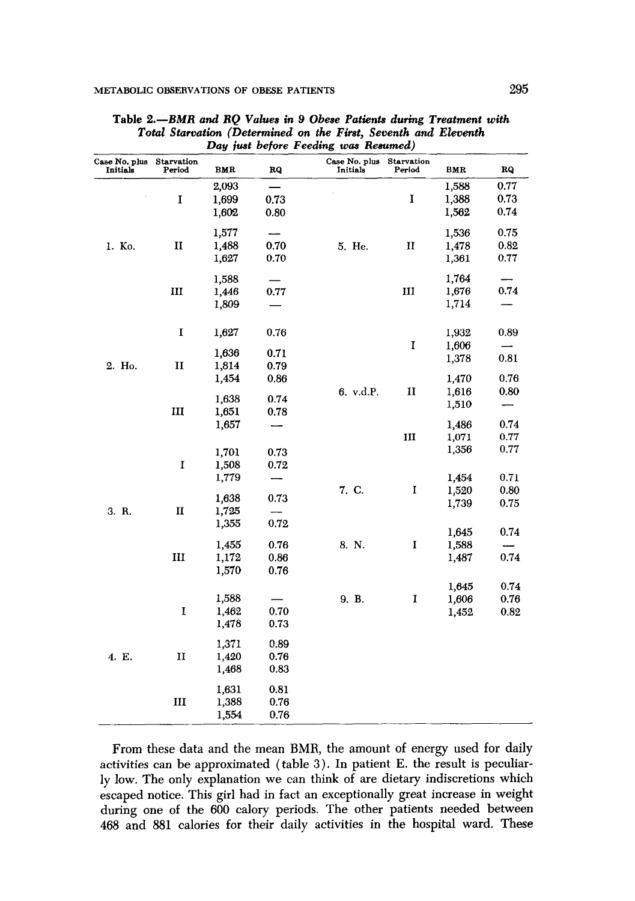| Case No. plus<br>Initials | <b>Starvation</b><br>Period | BMR   | RQ   | Case No. plus<br>Initials | <b>Starvation</b><br>Period | BMR   | RQ                       |
|---------------------------|-----------------------------|-------|------|---------------------------|-----------------------------|-------|--------------------------|
| 1. Ko.                    | I                           | 2,093 | —    |                           |                             | 1,588 | 0.77                     |
|                           |                             | 1,699 | 0.73 |                           | I                           | 1,388 | 0.73                     |
|                           |                             | 1,602 | 0.80 |                           |                             | 1,562 | 0.74                     |
|                           | п                           | 1,577 |      |                           |                             | 1,536 | 0.75                     |
|                           |                             | 1,488 | 0.70 | 5. He.                    | $\mathbf{I}$                | 1,478 | 0.82                     |
|                           |                             | 1,627 | 0.70 |                           |                             | 1,361 | 0.77                     |
|                           | Ш                           | 1,588 |      |                           |                             | 1,764 | -                        |
|                           |                             | 1,446 | 0.77 |                           | III                         | 1,676 | 0.74                     |
|                           |                             | 1,809 |      |                           |                             | 1,714 |                          |
|                           | $\mathbf I$                 | 1,627 | 0.76 |                           |                             | 1,932 | 0.89                     |
|                           |                             |       |      |                           | I                           | 1,606 |                          |
| 2. Ho.                    | п                           | 1,636 | 0.71 |                           |                             | 1,378 | 0.81                     |
|                           |                             | 1,814 | 0.79 |                           |                             |       |                          |
|                           |                             | 1,454 | 0.86 |                           |                             | 1,470 | 0.76                     |
|                           | III                         | 1,638 | 0.74 | 6. v.d.P.                 | п                           | 1,616 | 0.80                     |
|                           |                             | 1,651 | 0.78 |                           |                             | 1,510 | $\overline{\phantom{0}}$ |
|                           |                             | 1,657 |      |                           |                             | 1,486 | 0.74                     |
|                           |                             |       |      |                           | Ш                           | 1,071 | 0.77                     |
|                           |                             |       |      |                           |                             | 1,356 | 0.77                     |
|                           |                             | 1,701 | 0.73 |                           |                             |       |                          |
|                           | I                           | 1,508 | 0.72 |                           |                             |       |                          |
| 3. R.                     |                             | 1,779 |      | 7. C.                     | I                           | 1,454 | 0.71                     |
|                           |                             | 1,638 | 0.73 |                           |                             | 1,520 | 0.80                     |
|                           | $\mathbf{I}$                | 1,725 |      |                           |                             | 1,739 | 0.75                     |
|                           |                             | 1,355 | 0.72 |                           |                             |       |                          |
|                           | III                         |       |      |                           |                             | 1,645 | 0.74                     |
|                           |                             | 1,455 | 0.76 | 8. N.                     | I                           | 1,588 |                          |
|                           |                             | 1,172 | 0.86 |                           |                             | 1,487 | 0.74                     |
|                           |                             | 1,570 | 0.76 |                           |                             |       |                          |
| 4. E.                     | I                           |       |      |                           |                             | 1,645 | 0.74                     |
|                           |                             | 1,588 |      | 9. B.                     | I                           | 1,606 | 0.76                     |
|                           |                             | 1,462 | 0.70 |                           |                             | 1,452 | 0.82                     |
|                           |                             | 1,478 | 0.73 |                           |                             |       |                          |
|                           |                             | 1,371 | 0.89 |                           |                             |       |                          |
|                           | п                           | 1,420 | 0.76 |                           |                             |       |                          |
|                           |                             | 1,468 | 0.83 |                           |                             |       |                          |
|                           | Ш                           | 1,631 | 0.81 |                           |                             |       |                          |
|                           |                             | 1,388 | 0.76 |                           |                             |       |                          |
|                           |                             | 1,554 | 0.76 |                           |                             |       |                          |

Table 2.-BMR and RQ Values in 9 Obese Patients during Treatment with Total Starvation (Determined on the First, Seventh and Eleventh Day just before Feeding was Resumed)

From these data and the mean BMR, the amount of energy used for daily activities can be approximated (table 3). In patient E. the result is peculiarly low. The only explanation we can think of are dietary indiscretions which escaped notice. This girl had in fact an exceptionally great increase in weight during one of the 600 calory periods. The other patients needed between 468 and 881 calories for their daily activities in the hospital ward. These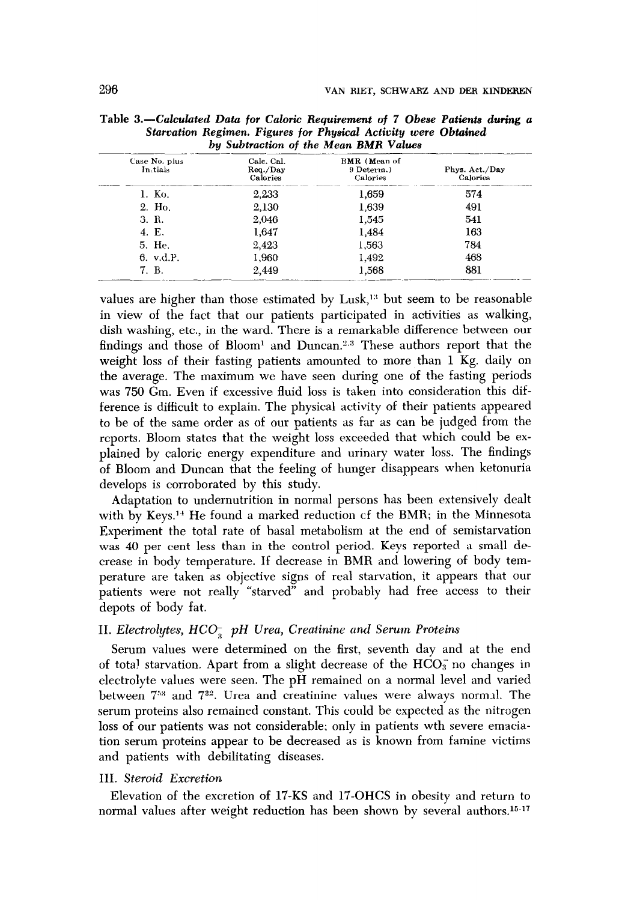| <i>DA Subtraction of the mean Dimit ration</i> |                                    |                                        |                            |  |  |
|------------------------------------------------|------------------------------------|----------------------------------------|----------------------------|--|--|
| Case No. plus<br>In tials                      | Calc. Cal.<br>Req./Day<br>Calories | BMR (Mean of<br>9 Determ.)<br>Calories | Phys. Act./Day<br>Calories |  |  |
| 1. Ko.                                         | 2.233                              | 1,659                                  | 574                        |  |  |
| 2. Ho.                                         | 2,130                              | 1,639                                  | 491                        |  |  |
| 3. R.                                          | 2,046                              | 1,545                                  | 541                        |  |  |
| 4. E.                                          | 1.647                              | 1,484                                  | 163                        |  |  |
| 5. He.                                         | 2,423                              | 1,563                                  | 784                        |  |  |
| 6. v.d.P.                                      | 1,960                              | 1,492                                  | 468                        |  |  |
| 7. B.                                          | 2.449                              | 1,568                                  | 881                        |  |  |

| Table 3.—Calculated Data for Caloric Requirement of 7 Obese Patients during a |  |
|-------------------------------------------------------------------------------|--|
| Starvation Regimen. Figures for Physical Activity were Obtained               |  |
| by Subtraction of the Mean RMR Values                                         |  |

values are higher than those estimated by Lusk,<sup>13</sup> but seem to be reasonable in view of the fact that our patients participated in activities as walking, dish washing, etc., in the ward. There is a remarkable difference between our findings and those of  $Bloom<sup>1</sup>$  and  $Duncan.<sup>2,3</sup>$  These authors report that the weight loss of their fasting patients amounted to more than 1 Kg. daily on the average. The maximum we have seen during one of the fasting periods was 750 Gm. Even if excessive fluid loss is taken into consideration this difference is difficult to explain. The physical activity of their patients appeared to be of the same order as of our patients as far as can be judged from the reports. Bloom states that the weight loss exceeded that which could be explained by caloric energy expenditure and urinary water loss. The findings of Bloom and Duncan that the feeling of hunger disappears when ketonuria develops is corroborated by this study.

Adaptation to undernutrition in normal persons has been extensively dealt with by Keys.<sup>14</sup> He found a marked reduction of the BMR; in the Minnesota Experiment the total rate of basal metabolism at the end of semistarvation was 40 per cent less than in the control period. Keys reported a small decrease in body temperature. If decrease in BMR and lowering of body temperature are taken as objective signs of real starvation, it appears that our patients were not really "starved" and probably had free access to their depots of body fat.

# II. Electrolytes,  $HCO<sub>s</sub><sup>-</sup>$  pH Urea, Creatinine and Serum Proteins

Serum values were determined on the first, seventh day and at the end of total starvation. Apart from a slight decrease of the  $HCO_3^-$  no changes in electrolyte values were seen. The pH remained on a normal level and varied between  $7^{53}$  and  $7^{32}$ . Urea and creatinine values were always normal. The serum proteins also remained constant. This could be expected as the nitrogen loss of our patients was not considerable; only in patients wth severe emaciation serum proteins appear to be decreased as is known from famine victims and patients with debilitating diseases.

#### III. Steroid Excretion

Elevation of the excretion of 17-KS and 17-OHCS in obesity and return to normal values after weight reduction has been shown by several authors.<sup>15-17</sup>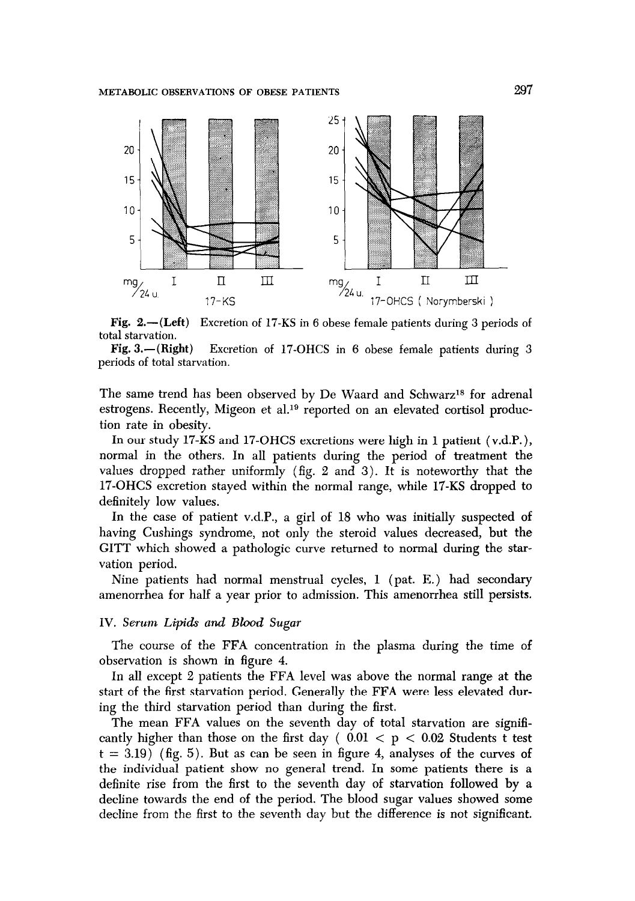

 $Fig. 2.—(Left)$ total starvation. Excretion of 17-KS in 6 obese female patients during 3 periods of

**Fig. 3.**-(Right) Excretion of 17-OHCS in 6 obese female patients during 3 periods of total starvation.

The same trend has been observed by De Waard and Schwarz<sup>18</sup> for adrenal estrogens. Recently, Migeon et al.<sup>19</sup> reported on an elevated cortisol production rate in obesity.

In our study 17-KS and 17-OHCS excretions were high in 1 patient (v.d.P. ), normal in the others. In all patients during the period of treatment the values dropped rather uniformly (fig. 2 and 3). It is noteworthy that the 17-OHCS excretion stayed within the normal range, while 17-KS dropped to definitely low values.

In the case of patient v.d.P., a girl of 18 who was initially suspected of having Cushings syndrome, not only the steroid values decreased, but the GITT which showed a pathologic curve returned to normal during the starvation period.

Nine patients had normal menstrual cycles, 1 (pat. E.) had secondary amenorrhea for half a year prior to admission. This amenorrhea still persists.

#### IV. Serum *Lipids and Bhwd Sugar*

The course of the FFA concentration in the plasma during the time of observation is shown in figure 4.

In all except 2 patients the FFA level was above the normal range at the start of the first starvation period. Generally the FFA were less elevated during the third starvation period than during the first.

The mean FFA values on the seventh day of total starvation are significantly higher than those on the first day (  $0.01 < p < 0.02$  Students t test  $t = 3.19$ ) (fig. 5). But as can be seen in figure 4, analyses of the curves of the individual patient show no general trend. In some patients there is a definite rise from the first to the seventh day of starvation followed by a decline towards the end of the period. The blood sugar values showed some decline from the first to the seventh day but the difference is not significant.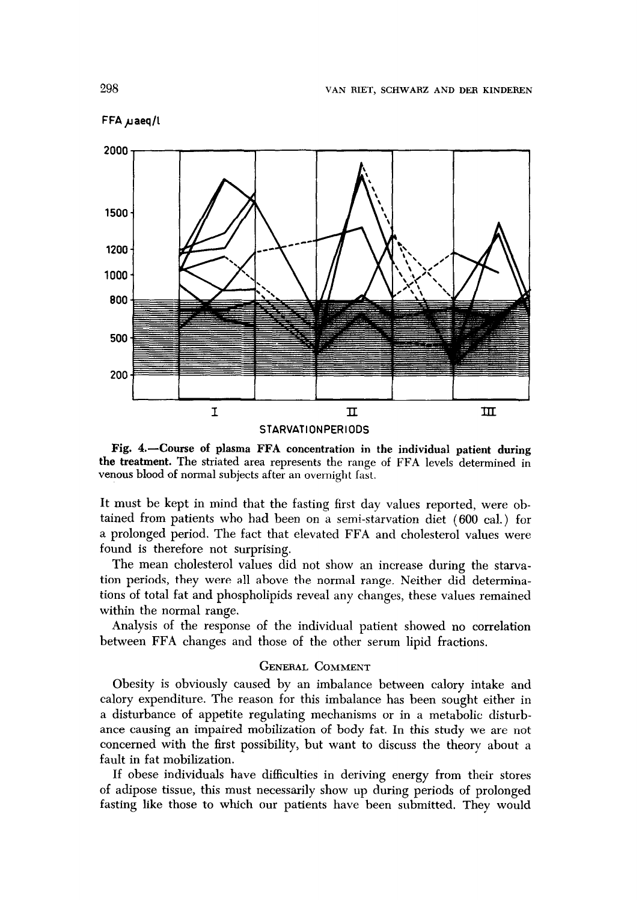



Fig. 4.-Course of plasma FFA concentration in the individual patient during the treatment. The striated area represents the range of FFA levels determined in venous blood of normal subjects after an overnight fast.

It **must** be kept in mind that the fasting first day values reported, were obtained from patients who had been on a semi-starvation diet (600 cal.) for a prolonged period. The fact that elevated FFA and cholesterol values were found is therefore not surprising.

The mean cholesterol values did not show an increase during the starvation periods, they were all above the normal range. Neither did determinations of total fat and phospholipids reveal any changes, these values remained within the normal range.

Analysis of the response of the individual patient showed no correlation between FFA changes and those of the other serum lipid fractions.

## **GENERAL COMMENT**

Obesity is obviously caused by an imbalance between calory intake and calory expenditure. The reason for this imbalance has been sought either in a disturbance of appetite regulating mechanisms or in a metabolic disturbance causing an impaired mobilization of body fat. In this study we are not concerned with the first possibility, but want to discuss the theory about a fault in fat mobilization.

If obese individuals have difficulties in deriving energy from their stores of adipose tissue, this must necessarily show up during periods of prolonged fasting like those to which our patients have been submitted. They would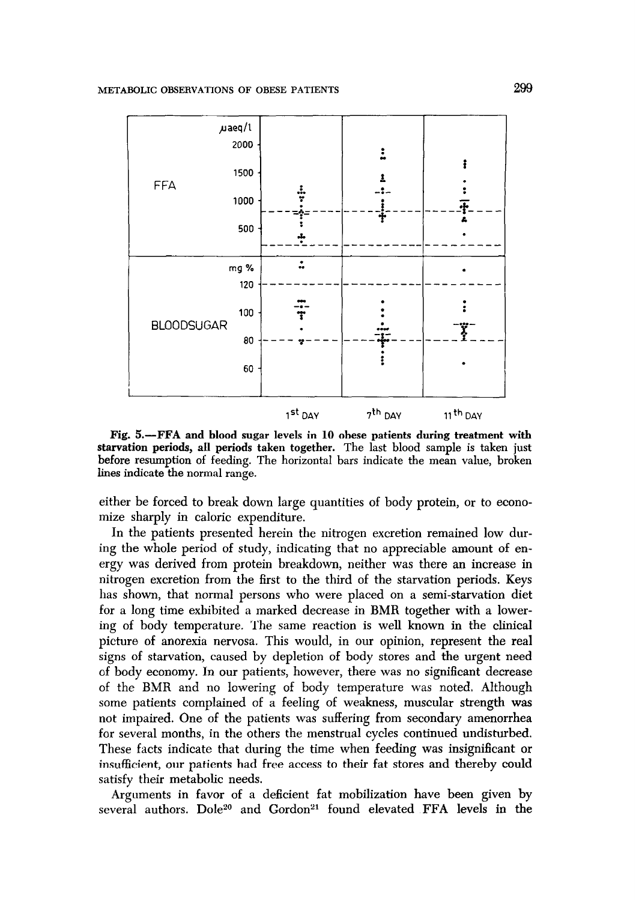

Fig. 5.—FFA and blood sugar levels in 10 obese patients during treatment with starvation periods, all periods taken together. The last blood sample is taken just before resumption of feeding. The horizontal bars indicate the mean value, broken lines indicate the normal range.

either be forced to break down large quantities of body protein, or to economize sharply in caloric expenditure.

In the patients presented herein the nitrogen excretion remained low during the whole period of study, indicating that no appreciable amount of energy was derived from protein breakdown, neither was there an increase in nitrogen excretion from the first to the third of the starvation periods. Keys has shown, that normal persons who were placed on a semi-starvation diet for a long time exhibited a marked decrease in BMR together with a lowering of body temperature. The same reaction is well known in the clinical picture of anorexia nervosa. This would, in our opinion, represent the real signs of starvation, caused by depletion of body stores and the urgent need of body economy. In our patients, however, there was no significant decrease of the BMR and no lowering of body temperature was noted. Although some patients complained of a feeling of weakness, muscular strength was not impaired. One of the patients was suffering from secondary amenorrhea for several months, in the others the menstrual cycles continued undisturbed. These facts indicate that during the time when feeding was insignificant or insufficient, our patients had free access to their fat stores and thereby could satisfy their metabolic needs.

Arguments in favor of a deficient fat mobilization have been given by several authors. Dole<sup>20</sup> and Gordon<sup>21</sup> found elevated FFA levels in the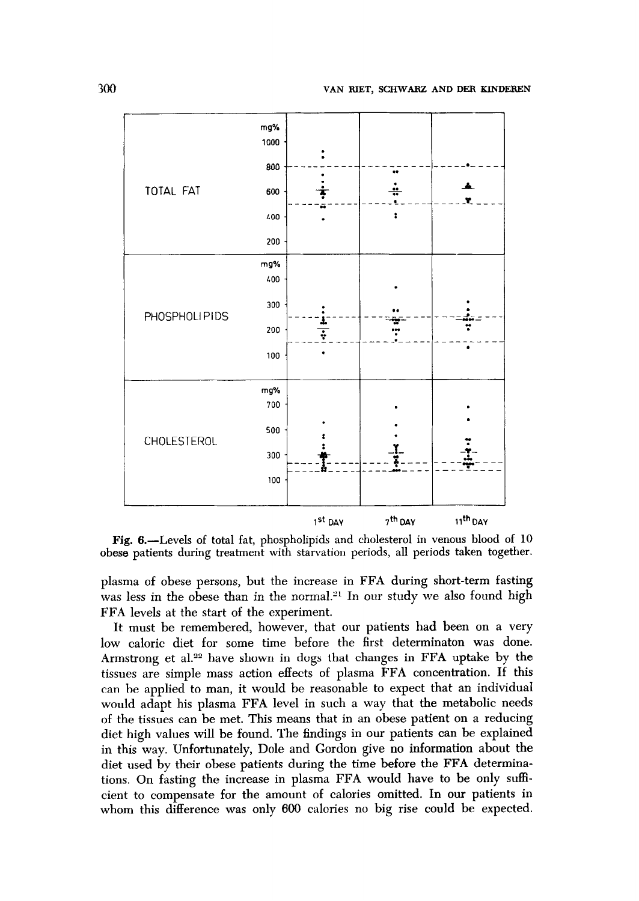

Fig. 6.—Levels of total fat, phospholipids and cholesterol in venous blood of 10 obese patients during treatment with starvation periods, all periods taken together.

plasma of obese persons, but the increase in FFA during short-term fasting was less in the obese than in the normal.<sup>21</sup> In our study we also found high FFA levels at the start of the experiment.

It must be remembered, however, that our patients had been on a very low caloric diet for some time before the first determinaton was done. Armstrong et al.<sup>22</sup> have shown in dogs that changes in FFA uptake by the tissues are simple mass action effects of plasma FFA concentration. If this can be applied to man, it would be reasonable to expect that an individual would adapt his plasma FFA level in such a way that the metabolic needs of the tissues can be met. This means that in an obese patient on a reducing diet high values will be found. The findings in our patients can be explained in this way. Unfortunately, Dole and Gordon give no information about the diet used by their obese patients during the time before the FFA determinations. On fasting the increase in plasma FFA would have to be only sufficient to compensate for the amount of calories omitted. In our patients in whom this difference was only 600 calories no big rise could be expected.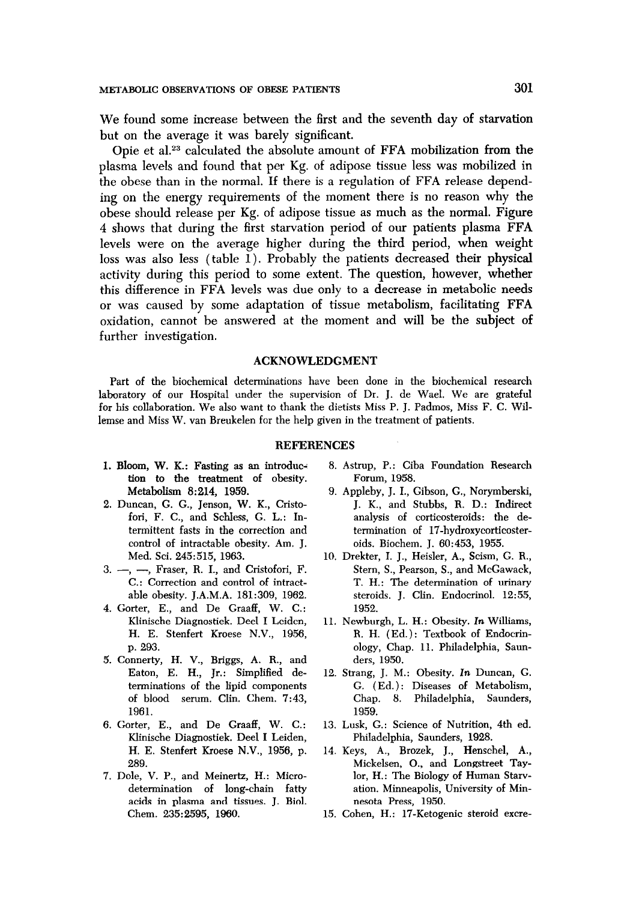**We found some increase between the first and the seventh day of starvation but on the average it was barely significant.** 

**Opie et a1.23 calculated the absolute amount of FFA mobilization from the plasma levels and found that per Kg. of adipose tissue less was mobilized in the obese than in the normal. If there is a regulation of FFA release depending on the energy requirements of the moment there is no reason why the obese should release per Kg. of adipose tissue as much as the normal. Figure 4 shows that during the first starvation period of our patients plasma FFA levels were on the average higher during the third period, when weight loss was also less (table 1). Probably the patients decreased their physical activity during this period to some extent. The question, however, whether this difference in FFA levels was due only to a decrease in metabolic needs or was caused by some adaptation of tissue metabolism, facilitating FFA oxidation, cannot be answered at the moment and will be the subject of further investigation.** 

#### **ACKNOWLEDGMENT**

Part of the biochemical determinations have been done in the biochemical research laboratory of our Hospital under the supervision of Dr. J. de Wael. We are grateful for his collaboration. We also want to thank the dietists Miss P. J. Padmos, Miss F. C. Willemse and Miss W. van Breukelen for the help given in the treatment of patients.

#### **REFERENCES**

- tion to the treatment of obesity. Forum, 1958. Metabolism 8:214, 1959. 9. Appleby, J. I., Gibson, G., Norymberski,
- control of intractable obesity. Am. J. oids. Biochem. J. 60:453, 1955.
- 
- 4. Gorter, E., and De Graaff, W. C.: 1952. Klinische Diagnostiek. Deel I Leiden, 11. Newburgh, L. H.: Obesity. In Williams,
- 5. Connerty, H. V., Briggs, A. R., and ders, 1950. Eaton, E. H., Jr.: Simplified de- 12. Strang, J. M.: Obesity. In Duncan, G. 1961. 1959.
- Klinische Diagnostiek. Dee1 I Leiden, Philadelphia, Saunders, 1928. H. E. Stenfert Kroese N.V., 1956, p. 14. Keys, A., Brozek, J., Henschel, A.,
- 7. Dole, V. P., and Meinertz, H.: Microacids in plasma and tissues. J. Biol. nesota Press, 1950.
- 1. Bloom, W. K.: Fasting as an introduc- 8. Astrup, P.: Ciba Foundation Research
- 2. Duncan, G. G., Jenson, W. K., Cristo- J. K., and Stubbs, R. D.: Indirect fori, F. C., and Schless, G. L.: In- analysis of corticosteroids: the determittent fasts in the correction and termination of 17-hydroxycorticoster-
- Med. Sci. 245:515, 1963. 10. Drekter, I. J., Heisler, A., Scism, G. R., 3. -, -, Fraser, R. I., and Cristofori, F. Stern, S., Pearson, S., and McGawack, C.: Correction and control of intract- T. H.: The determination of urinary able obesity. J.A.M.A. 181:309, 1962. steroids. J. Clin. Endocrinol. 12:55,
	- H. E. Stenfert Kroese N.V., 1956, R. H. (Ed.): Textbook of Endocrinp. 293. ology, Chap. 11. Philadelphia, Saun-
	- terminations of the lipid components G. (Ed.): Diseases of Metabolism, of blood serum. Clin. Chem. 7:43, Chap. 8. Philadelphia, Saunders,
- 6. Gorter, E., and De Graaff, W. C.: 13. Lusk, G.: Science of Nutrition, 4th ed.
	- 289. Mickelsen, O., and Longstreet Taydetermination of long-chain fatty ation. Minneapolis, University of Min-
	- Chem. 235:2595, 1960. 15. Cohen, H.: 17-Ketogenic steroid excre-